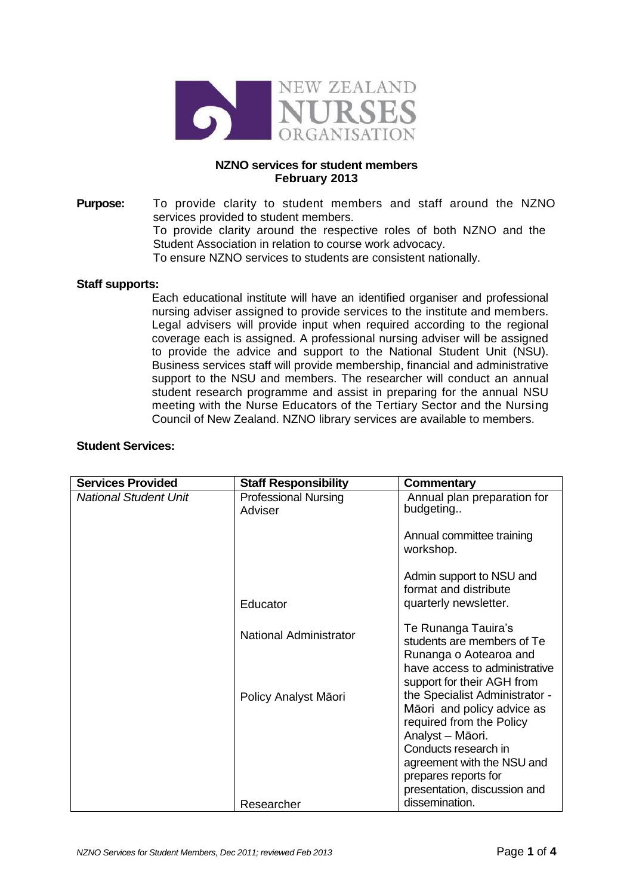

## **NZNO services for student members February 2013**

**Purpose:** To provide clarity to student members and staff around the NZNO services provided to student members. To provide clarity around the respective roles of both NZNO and the Student Association in relation to course work advocacy. To ensure NZNO services to students are consistent nationally.

## **Staff supports:**

Each educational institute will have an identified organiser and professional nursing adviser assigned to provide services to the institute and members. Legal advisers will provide input when required according to the regional coverage each is assigned. A professional nursing adviser will be assigned to provide the advice and support to the National Student Unit (NSU). Business services staff will provide membership, financial and administrative support to the NSU and members. The researcher will conduct an annual student research programme and assist in preparing for the annual NSU meeting with the Nurse Educators of the Tertiary Sector and the Nursing Council of New Zealand. NZNO library services are available to members.

| <b>Services Provided</b>     | <b>Staff Responsibility</b>            | Commentary                                                                                                                  |
|------------------------------|----------------------------------------|-----------------------------------------------------------------------------------------------------------------------------|
| <b>National Student Unit</b> | <b>Professional Nursing</b><br>Adviser | Annual plan preparation for<br>budgeting                                                                                    |
|                              |                                        | Annual committee training<br>workshop.                                                                                      |
|                              | Educator                               | Admin support to NSU and<br>format and distribute<br>quarterly newsletter.                                                  |
|                              | National Administrator                 | Te Runanga Tauira's<br>students are members of Te<br>Runanga o Aotearoa and                                                 |
|                              | Policy Analyst Māori                   | have access to administrative<br>support for their AGH from<br>the Specialist Administrator -<br>Māori and policy advice as |
|                              |                                        | required from the Policy<br>Analyst - Māori.<br>Conducts research in<br>agreement with the NSU and                          |
|                              | Researcher                             | prepares reports for<br>presentation, discussion and<br>dissemination.                                                      |

## **Student Services:**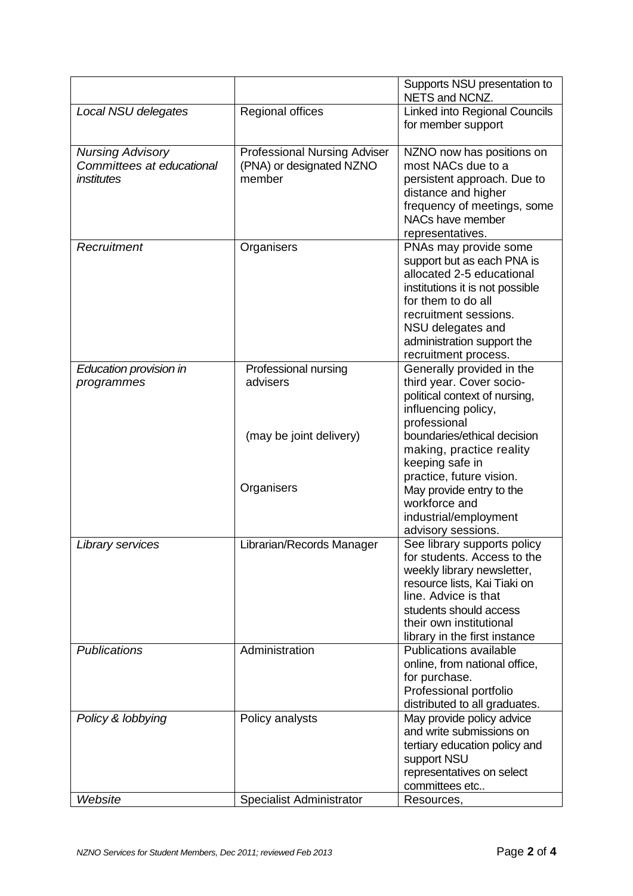|                                                                           |                                                                           | Supports NSU presentation to<br>NETS and NCNZ.                                                                                                                                                                                                |
|---------------------------------------------------------------------------|---------------------------------------------------------------------------|-----------------------------------------------------------------------------------------------------------------------------------------------------------------------------------------------------------------------------------------------|
| Local NSU delegates                                                       | Regional offices                                                          | <b>Linked into Regional Councils</b><br>for member support                                                                                                                                                                                    |
| <b>Nursing Advisory</b><br>Committees at educational<br><i>institutes</i> | <b>Professional Nursing Adviser</b><br>(PNA) or designated NZNO<br>member | NZNO now has positions on<br>most NACs due to a<br>persistent approach. Due to<br>distance and higher<br>frequency of meetings, some<br>NACs have member<br>representatives.                                                                  |
| Recruitment                                                               | Organisers                                                                | PNAs may provide some<br>support but as each PNA is<br>allocated 2-5 educational<br>institutions it is not possible<br>for them to do all<br>recruitment sessions.<br>NSU delegates and<br>administration support the<br>recruitment process. |
| Education provision in<br>programmes                                      | Professional nursing<br>advisers                                          | Generally provided in the<br>third year. Cover socio-<br>political context of nursing,<br>influencing policy,<br>professional                                                                                                                 |
|                                                                           | (may be joint delivery)<br>Organisers                                     | boundaries/ethical decision<br>making, practice reality<br>keeping safe in<br>practice, future vision.<br>May provide entry to the<br>workforce and<br>industrial/employment<br>advisory sessions.                                            |
| Library services                                                          | Librarian/Records Manager                                                 | See library supports policy<br>for students. Access to the<br>weekly library newsletter,<br>resource lists, Kai Tiaki on<br>line. Advice is that<br>students should access<br>their own institutional<br>library in the first instance        |
| <b>Publications</b>                                                       | Administration                                                            | Publications available<br>online, from national office,<br>for purchase.<br>Professional portfolio<br>distributed to all graduates.                                                                                                           |
| Policy & lobbying                                                         | Policy analysts                                                           | May provide policy advice<br>and write submissions on<br>tertiary education policy and<br>support NSU<br>representatives on select<br>committees etc                                                                                          |
| Website                                                                   | <b>Specialist Administrator</b>                                           | Resources,                                                                                                                                                                                                                                    |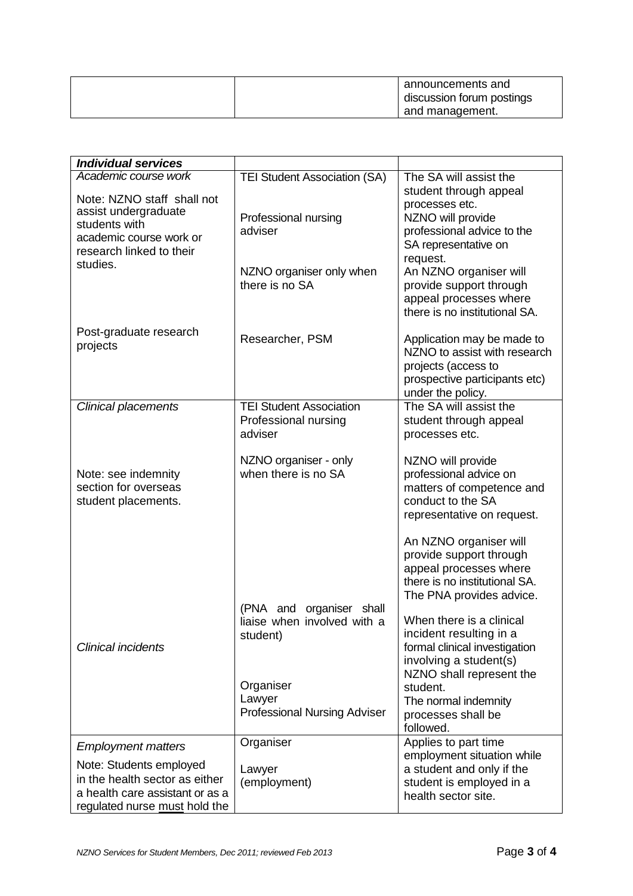| announcements and<br>discussion forum postings |
|------------------------------------------------|
| and management.                                |

| <b>Individual services</b>                                                                                                    |                                                                                                                                      |                                                                                                                                                                                                                                                                                                                                                               |
|-------------------------------------------------------------------------------------------------------------------------------|--------------------------------------------------------------------------------------------------------------------------------------|---------------------------------------------------------------------------------------------------------------------------------------------------------------------------------------------------------------------------------------------------------------------------------------------------------------------------------------------------------------|
| Academic course work                                                                                                          | <b>TEI Student Association (SA)</b>                                                                                                  | The SA will assist the                                                                                                                                                                                                                                                                                                                                        |
| Note: NZNO staff shall not<br>assist undergraduate<br>students with<br>academic course work or                                | Professional nursing<br>adviser                                                                                                      | student through appeal<br>processes etc.<br>NZNO will provide<br>professional advice to the                                                                                                                                                                                                                                                                   |
| research linked to their<br>studies.                                                                                          | NZNO organiser only when<br>there is no SA                                                                                           | SA representative on<br>request.<br>An NZNO organiser will<br>provide support through<br>appeal processes where<br>there is no institutional SA.                                                                                                                                                                                                              |
| Post-graduate research<br>projects                                                                                            | Researcher, PSM                                                                                                                      | Application may be made to<br>NZNO to assist with research<br>projects (access to<br>prospective participants etc)<br>under the policy.                                                                                                                                                                                                                       |
| Clinical placements                                                                                                           | <b>TEI Student Association</b><br>Professional nursing<br>adviser                                                                    | The SA will assist the<br>student through appeal<br>processes etc.                                                                                                                                                                                                                                                                                            |
| Note: see indemnity<br>section for overseas<br>student placements.                                                            | NZNO organiser - only<br>when there is no SA                                                                                         | NZNO will provide<br>professional advice on<br>matters of competence and<br>conduct to the SA<br>representative on request.                                                                                                                                                                                                                                   |
| <b>Clinical incidents</b>                                                                                                     | (PNA and<br>organiser shall<br>liaise when involved with a<br>student)<br>Organiser<br>Lawyer<br><b>Professional Nursing Adviser</b> | An NZNO organiser will<br>provide support through<br>appeal processes where<br>there is no institutional SA.<br>The PNA provides advice.<br>When there is a clinical<br>incident resulting in a<br>formal clinical investigation<br>involving a student(s)<br>NZNO shall represent the<br>student.<br>The normal indemnity<br>processes shall be<br>followed. |
| <b>Employment matters</b>                                                                                                     | Organiser                                                                                                                            | Applies to part time                                                                                                                                                                                                                                                                                                                                          |
| Note: Students employed<br>in the health sector as either<br>a health care assistant or as a<br>regulated nurse must hold the | Lawyer<br>(employment)                                                                                                               | employment situation while<br>a student and only if the<br>student is employed in a<br>health sector site.                                                                                                                                                                                                                                                    |